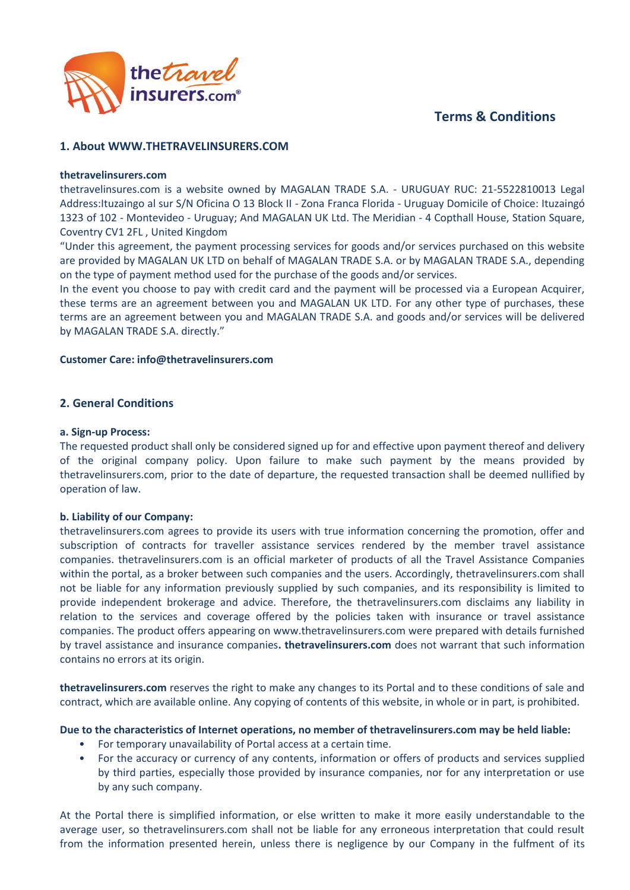# **Terms & Conditions**



# **1. About WWW.THETRAVELINSURERS.COM**

#### **thetravelinsurers.com**

thetravelinsures.com is a website owned by MAGALAN TRADE S.A. - URUGUAY RUC: 21-5522810013 Legal Address:Ituzaingo al sur S/N Oficina O 13 Block II - Zona Franca Florida - Uruguay Domicile of Choice: Ituzaingó 1323 of 102 - Montevideo - Uruguay; And MAGALAN UK Ltd. The Meridian - 4 Copthall House, Station Square, Coventry CV1 2FL , United Kingdom

"Under this agreement, the payment processing services for goods and/or services purchased on this website are provided by MAGALAN UK LTD on behalf of MAGALAN TRADE S.A. or by MAGALAN TRADE S.A., depending on the type of payment method used for the purchase of the goods and/or services.

In the event you choose to pay with credit card and the payment will be processed via a European Acquirer, these terms are an agreement between you and MAGALAN UK LTD. For any other type of purchases, these terms are an agreement between you and MAGALAN TRADE S.A. and goods and/or services will be delivered by MAGALAN TRADE S.A. directly."

#### **Customer Care: info@thetravelinsurers.com**

# **2. General Conditions**

#### **a. Sign-up Process:**

The requested product shall only be considered signed up for and effective upon payment thereof and delivery of the original company policy. Upon failure to make such payment by the means provided by thetravelinsurers.com, prior to the date of departure, the requested transaction shall be deemed nullified by operation of law.

# **b. Liability of our Company:**

thetravelinsurers.com agrees to provide its users with true information concerning the promotion, offer and subscription of contracts for traveller assistance services rendered by the member travel assistance companies. thetravelinsurers.com is an official marketer of products of all the Travel Assistance Companies within the portal, as a broker between such companies and the users. Accordingly, thetravelinsurers.com shall not be liable for any information previously supplied by such companies, and its responsibility is limited to provide independent brokerage and advice. Therefore, the thetravelinsurers.com disclaims any liability in relation to the services and coverage offered by the policies taken with insurance or travel assistance companies. The product offers appearing on www.thetravelinsurers.com were prepared with details furnished by travel assistance and insurance companies**. thetravelinsurers.com** does not warrant that such information contains no errors at its origin.

**thetravelinsurers.com** reserves the right to make any changes to its Portal and to these conditions of sale and contract, which are available online. Any copying of contents of this website, in whole or in part, is prohibited.

**Due to the characteristics of Internet operations, no member of thetravelinsurers.com may be held liable:** 

- For temporary unavailability of Portal access at a certain time.
- For the accuracy or currency of any contents, information or offers of products and services supplied by third parties, especially those provided by insurance companies, nor for any interpretation or use by any such company.

At the Portal there is simplified information, or else written to make it more easily understandable to the average user, so thetravelinsurers.com shall not be liable for any erroneous interpretation that could result from the information presented herein, unless there is negligence by our Company in the fulfment of its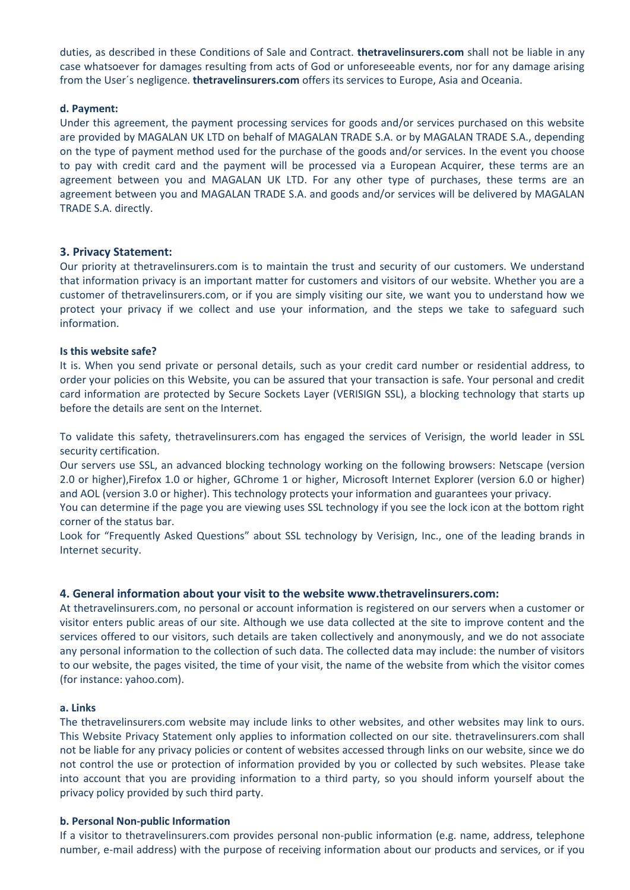duties, as described in these Conditions of Sale and Contract. **thetravelinsurers.com** shall not be liable in any case whatsoever for damages resulting from acts of God or unforeseeable events, nor for any damage arising from the User´s negligence. **thetravelinsurers.com** offers its services to Europe, Asia and Oceania.

#### **d. Payment:**

Under this agreement, the payment processing services for goods and/or services purchased on this website are provided by MAGALAN UK LTD on behalf of MAGALAN TRADE S.A. or by MAGALAN TRADE S.A., depending on the type of payment method used for the purchase of the goods and/or services. In the event you choose to pay with credit card and the payment will be processed via a European Acquirer, these terms are an agreement between you and MAGALAN UK LTD. For any other type of purchases, these terms are an agreement between you and MAGALAN TRADE S.A. and goods and/or services will be delivered by MAGALAN TRADE S.A. directly.

# **3. Privacy Statement:**

Our priority at thetravelinsurers.com is to maintain the trust and security of our customers. We understand that information privacy is an important matter for customers and visitors of our website. Whether you are a customer of thetravelinsurers.com, or if you are simply visiting our site, we want you to understand how we protect your privacy if we collect and use your information, and the steps we take to safeguard such information.

# **Is this website safe?**

It is. When you send private or personal details, such as your credit card number or residential address, to order your policies on this Website, you can be assured that your transaction is safe. Your personal and credit card information are protected by Secure Sockets Layer (VERISIGN SSL), a blocking technology that starts up before the details are sent on the Internet.

To validate this safety, thetravelinsurers.com has engaged the services of Verisign, the world leader in SSL security certification.

Our servers use SSL, an advanced blocking technology working on the following browsers: Netscape (version 2.0 or higher),Firefox 1.0 or higher, GChrome 1 or higher, Microsoft Internet Explorer (version 6.0 or higher) and AOL (version 3.0 or higher). This technology protects your information and guarantees your privacy.

You can determine if the page you are viewing uses SSL technology if you see the lock icon at the bottom right corner of the status bar.

Look for "Frequently Asked Questions" about SSL technology by Verisign, Inc., one of the leading brands in Internet security.

# **4. General information about your visit to the website www.thetravelinsurers.com:**

At thetravelinsurers.com, no personal or account information is registered on our servers when a customer or visitor enters public areas of our site. Although we use data collected at the site to improve content and the services offered to our visitors, such details are taken collectively and anonymously, and we do not associate any personal information to the collection of such data. The collected data may include: the number of visitors to our website, the pages visited, the time of your visit, the name of the website from which the visitor comes (for instance: yahoo.com).

#### **a. Links**

The thetravelinsurers.com website may include links to other websites, and other websites may link to ours. This Website Privacy Statement only applies to information collected on our site. thetravelinsurers.com shall not be liable for any privacy policies or content of websites accessed through links on our website, since we do not control the use or protection of information provided by you or collected by such websites. Please take into account that you are providing information to a third party, so you should inform yourself about the privacy policy provided by such third party.

#### **b. Personal Non-public Information**

If a visitor to thetravelinsurers.com provides personal non-public information (e.g. name, address, telephone number, e-mail address) with the purpose of receiving information about our products and services, or if you